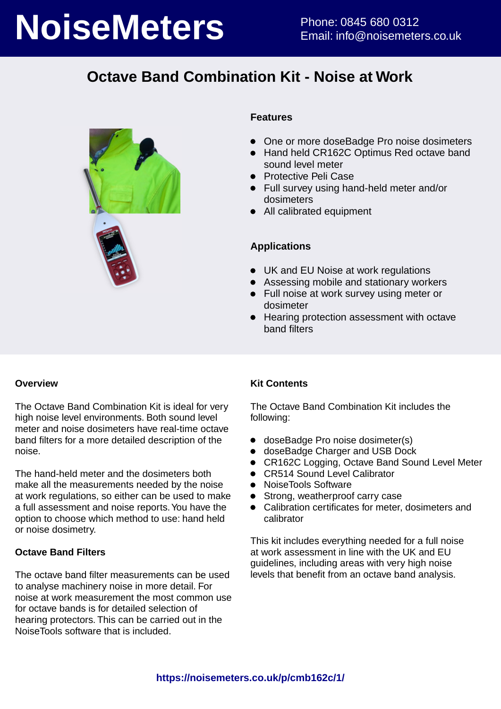# **NoiseMeters** Phone: 0845 680 0312

# **Octave Band Combination Kit - Noise at Work**



### **Features**

- One or more doseBadge Pro noise dosimeters
- Hand held CR162C Optimus Red octave band sound level meter
- **•** Protective Peli Case
- Full survey using hand-held meter and/or dosimeters
- All calibrated equipment

### **Applications**

- UK and EU Noise at work regulations
- Assessing mobile and stationary workers
- Full noise at work survey using meter or dosimeter
- **Hearing protection assessment with octave** band filters

### **Overview**

The Octave Band Combination Kit is ideal for very high noise level environments. Both sound level meter and noise dosimeters have real-time octave band filters for a more detailed description of the noise.

The hand-held meter and the dosimeters both make all the measurements needed by the noise at work regulations, so either can be used to make a full assessment and noise reports. You have the option to choose which method to use: hand held or noise dosimetry.

### **Octave Band Filters**

The octave band filter measurements can be used to analyse machinery noise in more detail. For noise at work measurement the most common use for octave bands is for detailed selection of hearing protectors. This can be carried out in the NoiseTools software that is included.

### **Kit Contents**

The Octave Band Combination Kit includes the following:

- doseBadge Pro noise dosimeter(s)
- doseBadge Charger and USB Dock
- CR162C Logging, Octave Band Sound Level Meter
- CR514 Sound Level Calibrator
- NoiseTools Software
- Strong, weatherproof carry case
- Calibration certificates for meter, dosimeters and calibrator

This kit includes everything needed for a full noise at work assessment in line with the UK and EU guidelines, including areas with very high noise levels that benefit from an octave band analysis.